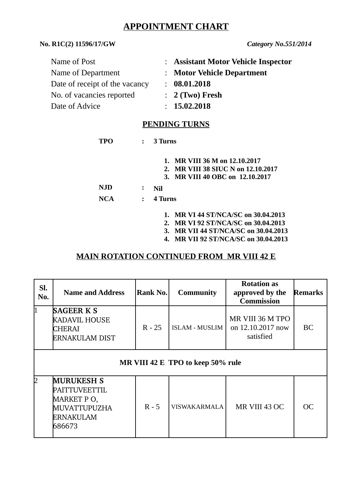# **APPOINTMENT CHART**

#### **No. R1C(2) 11596/17/GW** *Category No.551/2014*

| : Assistant Motor Vehicle Inspector |
|-------------------------------------|
| : Motor Vehicle Department          |
| : 08.01.2018                        |
| $: 2$ (Two) Fresh                   |
| : 15.02.2018                        |
|                                     |

## **PENDING TURNS**

| TPO               | $\mathbf{L}$      | 3 Turns                                                                                                |
|-------------------|-------------------|--------------------------------------------------------------------------------------------------------|
|                   |                   | 1. MR VIII 36 M on 12.10.2017<br>2. MR VIII 38 SIUC N on 12.10.2017<br>3. MR VIII 40 OBC on 12.10.2017 |
| NJD<br><b>NCA</b> | ፡<br>$\mathbf{r}$ | Nil<br>4 Turns                                                                                         |
|                   |                   |                                                                                                        |

- **1. MR VI 44 ST/NCA/SC on 30.04.2013**
- **2. MR VI 92 ST/NCA/SC on 30.04.2013**
- **3. MR VII 44 ST/NCA/SC on 30.04.2013**
- **4. MR VII 92 ST/NCA/SC on 30.04.2013**

### **MAIN ROTATION CONTINUED FROM MR VIII 42 E**

| SI.<br>No.  | <b>Name and Address</b>                                                                 | Rank No. | <b>Community</b>      | <b>Rotation as</b><br>approved by the<br><b>Commission</b> | <b>Remarks</b> |  |  |  |  |  |
|-------------|-----------------------------------------------------------------------------------------|----------|-----------------------|------------------------------------------------------------|----------------|--|--|--|--|--|
| $\mathbf 1$ | <b>SAGEER K S</b><br>KADAVIL HOUSE<br>CHERAI<br><b>ERNAKULAM DIST</b>                   | $R - 25$ | <b>ISLAM - MUSLIM</b> | MR VIII 36 M TPO<br>on 12.10.2017 now<br>satisfied         | BC             |  |  |  |  |  |
|             | MR VIII 42 E TPO to keep 50% rule                                                       |          |                       |                                                            |                |  |  |  |  |  |
| I2          | <b>MURUKESH S</b><br>PAITTUVEETTIL<br>MARKET PO,<br>MUVATTUPUZHA<br>ERNAKULAM<br>686673 | $R - 5$  | <b>VISWAKARMALA</b>   | MR VIII 43 OC                                              | OC             |  |  |  |  |  |